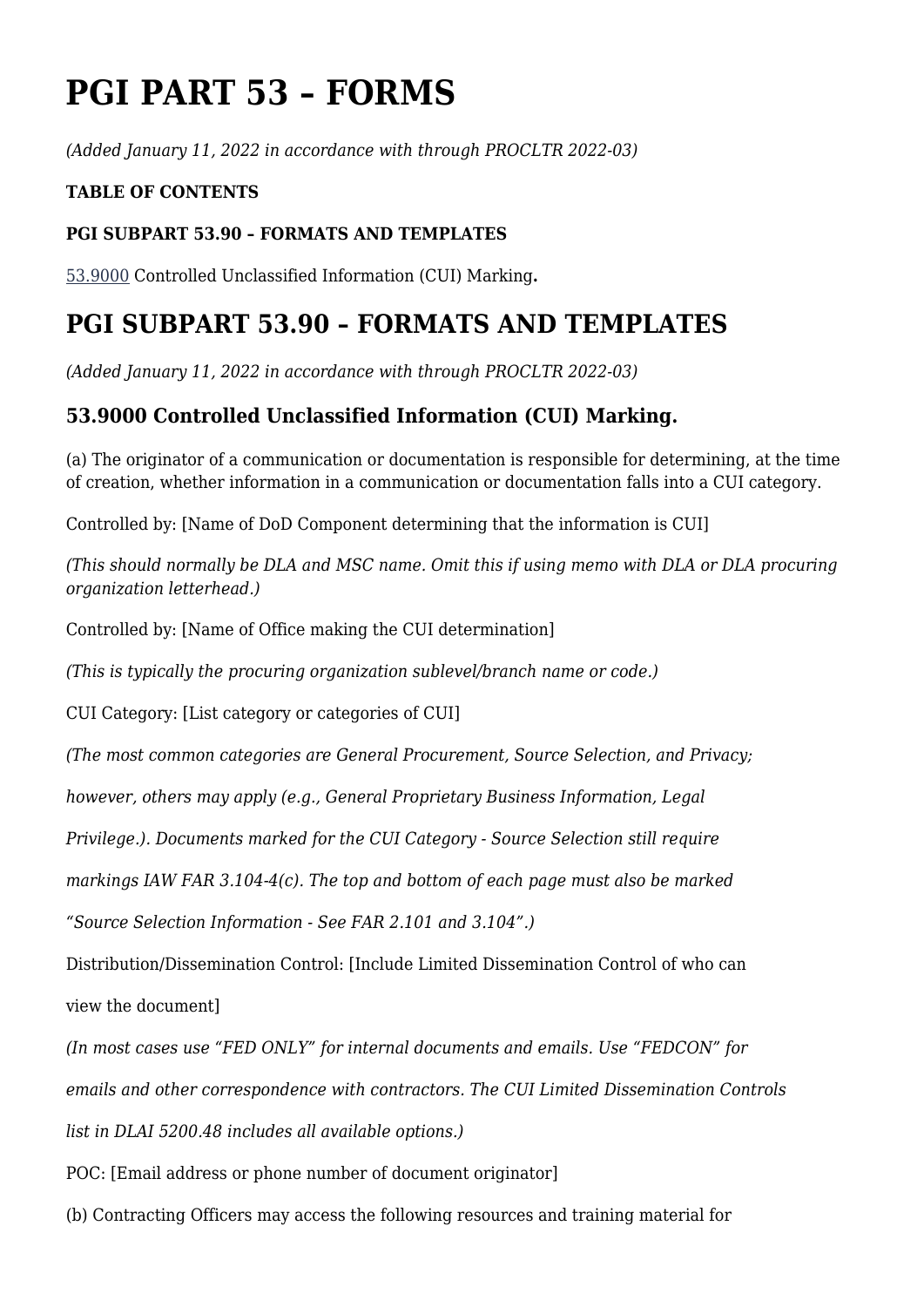# **PGI PART 53 – FORMS**

*(Added January 11, 2022 in accordance with through PROCLTR 2022-03)*

#### **TABLE OF CONTENTS**

#### **PGI SUBPART 53.90 – FORMATS AND TEMPLATES**

[53.9000](#page--1-0) Controlled Unclassified Information (CUI) Marking**.**

## **PGI SUBPART 53.90 – FORMATS AND TEMPLATES**

*(Added January 11, 2022 in accordance with through PROCLTR 2022-03)*

### **53.9000 Controlled Unclassified Information (CUI) Marking.**

(a) The originator of a communication or documentation is responsible for determining, at the time of creation, whether information in a communication or documentation falls into a CUI category.

Controlled by: [Name of DoD Component determining that the information is CUI]

*(This should normally be DLA and MSC name. Omit this if using memo with DLA or DLA procuring organization letterhead.)*

Controlled by: [Name of Office making the CUI determination]

*(This is typically the procuring organization sublevel/branch name or code.)*

CUI Category: [List category or categories of CUI]

*(The most common categories are General Procurement, Source Selection, and Privacy;*

*however, others may apply (e.g., General Proprietary Business Information, Legal*

*Privilege.). Documents marked for the CUI Category - Source Selection still require*

*markings IAW FAR 3.104-4(c). The top and bottom of each page must also be marked*

*"Source Selection Information - See FAR 2.101 and 3.104".)*

Distribution/Dissemination Control: [Include Limited Dissemination Control of who can

view the document]

*(In most cases use "FED ONLY" for internal documents and emails. Use "FEDCON" for*

*emails and other correspondence with contractors. The CUI Limited Dissemination Controls*

*list in DLAI 5200.48 includes all available options.)*

POC: [Email address or phone number of document originator]

(b) Contracting Officers may access the following resources and training material for